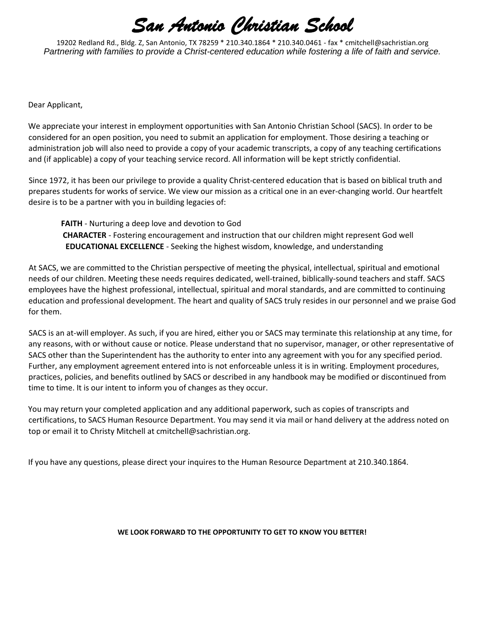19202 Redland Rd., Bldg. Z, San Antonio, TX 78259 \* 210.340.1864 \* 210.340.0461 - fax \* cmitchell@sachristian.org *Partnering with families to provide a Christ-centered education while fostering a life of faith and service.*

Dear Applicant,

We appreciate your interest in employment opportunities with San Antonio Christian School (SACS). In order to be considered for an open position, you need to submit an application for employment. Those desiring a teaching or administration job will also need to provide a copy of your academic transcripts, a copy of any teaching certifications and (if applicable) a copy of your teaching service record. All information will be kept strictly confidential.

Since 1972, it has been our privilege to provide a quality Christ-centered education that is based on biblical truth and prepares students for works of service. We view our mission as a critical one in an ever-changing world. Our heartfelt desire is to be a partner with you in building legacies of:

**FAITH** - Nurturing a deep love and devotion to God **CHARACTER** - Fostering encouragement and instruction that our children might represent God well **EDUCATIONAL EXCELLENCE** - Seeking the highest wisdom, knowledge, and understanding

At SACS, we are committed to the Christian perspective of meeting the physical, intellectual, spiritual and emotional needs of our children. Meeting these needs requires dedicated, well-trained, biblically-sound teachers and staff. SACS employees have the highest professional, intellectual, spiritual and moral standards, and are committed to continuing education and professional development. The heart and quality of SACS truly resides in our personnel and we praise God for them.

SACS is an at-will employer. As such, if you are hired, either you or SACS may terminate this relationship at any time, for any reasons, with or without cause or notice. Please understand that no supervisor, manager, or other representative of SACS other than the Superintendent has the authority to enter into any agreement with you for any specified period. Further, any employment agreement entered into is not enforceable unless it is in writing. Employment procedures, practices, policies, and benefits outlined by SACS or described in any handbook may be modified or discontinued from time to time. It is our intent to inform you of changes as they occur.

You may return your completed application and any additional paperwork, such as copies of transcripts and certifications, to SACS Human Resource Department. You may send it via mail or hand delivery at the address noted on top or email it to Christy Mitchell at cmitchell@sachristian.org.

If you have any questions, please direct your inquires to the Human Resource Department at 210.340.1864.

#### **WE LOOK FORWARD TO THE OPPORTUNITY TO GET TO KNOW YOU BETTER!**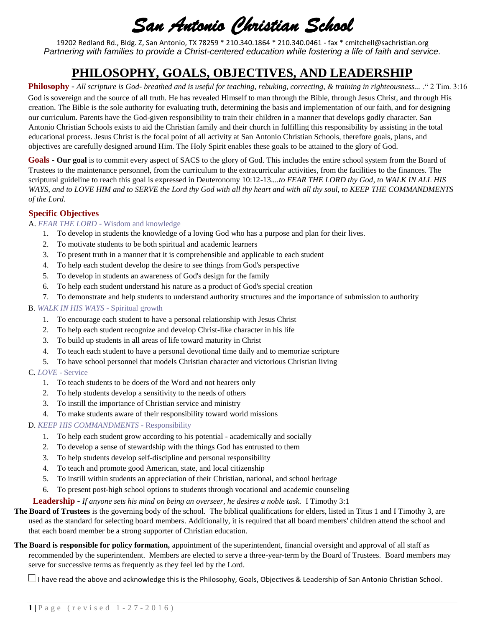19202 Redland Rd., Bldg. Z, San Antonio, TX 78259 \* 210.340.1864 \* 210.340.0461 - fax \* cmitchell@sachristian.org *Partnering with families to provide a Christ-centered education while fostering a life of faith and service.*

## **PHILOSOPHY, GOALS, OBJECTIVES, AND LEADERSHIP**

**Philosophy -** *All scripture is God- breathed and is useful for teaching, rebuking, correcting, & training in righteousness...* ." 2 Tim. 3:16 God is sovereign and the source of all truth. He has revealed Himself to man through the Bible, through Jesus Christ, and through His creation. The Bible is the sole authority for evaluating truth, determining the basis and implementation of our faith, and for designing our curriculum. Parents have the God-given responsibility to train their children in a manner that develops godly character. San Antonio Christian Schools exists to aid the Christian family and their church in fulfilling this responsibility by assisting in the total educational process. Jesus Christ is the focal point of all activity at San Antonio Christian Schools, therefore goals, plans, and objectives are carefully designed around Him. The Holy Spirit enables these goals to be attained to the glory of God.

**Goals - Our goal** is to commit every aspect of SACS to the glory of God. This includes the entire school system from the Board of Trustees to the maintenance personnel, from the curriculum to the extracurricular activities, from the facilities to the finances. The scriptural guideline to reach this goal is expressed in Deuteronomy 10:12-13.*...to FEAR THE LORD thy God, to WALK IN ALL HIS WAYS, and to LOVE HIM and to SERVE the Lord thy God with all thy heart and with all thy soul, to KEEP THE COMMANDMENTS of the Lord.*

### **Specific Objectives**

#### A. *FEAR THE LORD* - Wisdom and knowledge

- 1. To develop in students the knowledge of a loving God who has a purpose and plan for their lives.
- 2. To motivate students to be both spiritual and academic learners
- 3. To present truth in a manner that it is comprehensible and applicable to each student
- 4. To help each student develop the desire to see things from God's perspective
- 5. To develop in students an awareness of God's design for the family
- 6. To help each student understand his nature as a product of God's special creation
- 7. To demonstrate and help students to understand authority structures and the importance of submission to authority

#### B. *WALK IN HIS WAYS* - Spiritual growth

- 1. To encourage each student to have a personal relationship with Jesus Christ
- 2. To help each student recognize and develop Christ-like character in his life
- 3. To build up students in all areas of life toward maturity in Christ
- 4. To teach each student to have a personal devotional time daily and to memorize scripture
- 5. To have school personnel that models Christian character and victorious Christian living

#### C. *LOVE* - Service

- 1. To teach students to be doers of the Word and not hearers only
- 2. To help students develop a sensitivity to the needs of others
- 3. To instill the importance of Christian service and ministry
- 4. To make students aware of their responsibility toward world missions

#### D. *KEEP HIS COMMANDMENTS* - Responsibility

- 1. To help each student grow according to his potential academically and socially
- 2. To develop a sense of stewardship with the things God has entrusted to them
- 3. To help students develop self-discipline and personal responsibility
- 4. To teach and promote good American, state, and local citizenship
- 5. To instill within students an appreciation of their Christian, national, and school heritage
- 6. To present post-high school options to students through vocational and academic counseling

### **Leadership -** *If anyone sets his mind on being an overseer, he desires a noble task.* I Timothy 3:1

- **The Board of Trustees** is the governing body of the school. The biblical qualifications for elders, listed in Titus 1 and I Timothy 3, are used as the standard for selecting board members. Additionally, it is required that all board members' children attend the school and that each board member be a strong supporter of Christian education.
- **The Board is responsible for policy formation,** appointment of the superintendent, financial oversight and approval of all staff as recommended by the superintendent. Members are elected to serve a three-year-term by the Board of Trustees. Board members may serve for successive terms as frequently as they feel led by the Lord.

 $\Box$  I have read the above and acknowledge this is the Philosophy, Goals, Objectives & Leadership of San Antonio Christian School.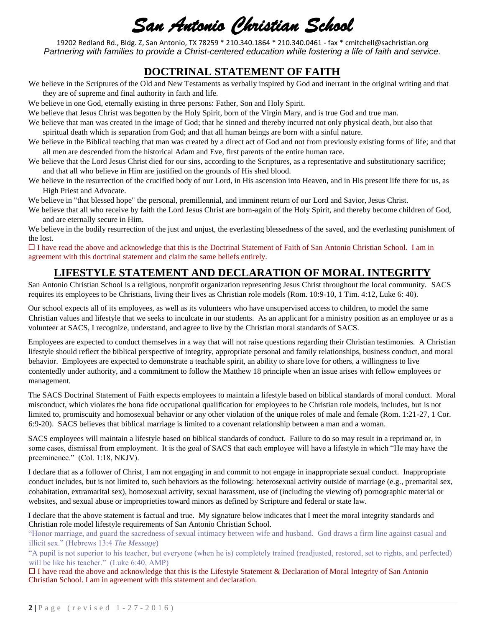19202 Redland Rd., Bldg. Z, San Antonio, TX 78259 \* 210.340.1864 \* 210.340.0461 - fax \* cmitchell@sachristian.org *Partnering with families to provide a Christ-centered education while fostering a life of faith and service.*

### **DOCTRINAL STATEMENT OF FAITH**

We believe in the Scriptures of the Old and New Testaments as verbally inspired by God and inerrant in the original writing and that they are of supreme and final authority in faith and life.

We believe in one God, eternally existing in three persons: Father, Son and Holy Spirit.

We believe that Jesus Christ was begotten by the Holy Spirit, born of the Virgin Mary, and is true God and true man.

- We believe that man was created in the image of God; that he sinned and thereby incurred not only physical death, but also that spiritual death which is separation from God; and that all human beings are born with a sinful nature.
- We believe in the Biblical teaching that man was created by a direct act of God and not from previously existing forms of life; and that all men are descended from the historical Adam and Eve, first parents of the entire human race.
- We believe that the Lord Jesus Christ died for our sins, according to the Scriptures, as a representative and substitutionary sacrifice; and that all who believe in Him are justified on the grounds of His shed blood.
- We believe in the resurrection of the crucified body of our Lord, in His ascension into Heaven, and in His present life there for us, as High Priest and Advocate.

We believe in "that blessed hope" the personal, premillennial, and imminent return of our Lord and Savior, Jesus Christ.

We believe that all who receive by faith the Lord Jesus Christ are born-again of the Holy Spirit, and thereby become children of God, and are eternally secure in Him.

We believe in the bodily resurrection of the just and unjust, the everlasting blessedness of the saved, and the everlasting punishment of the lost.

 $\Box$  I have read the above and acknowledge that this is the Doctrinal Statement of Faith of San Antonio Christian School. I am in agreement with this doctrinal statement and claim the same beliefs entirely.

## **LIFESTYLE STATEMENT AND DECLARATION OF MORAL INTEGRITY**

San Antonio Christian School is a religious, nonprofit organization representing Jesus Christ throughout the local community. SACS requires its employees to be Christians, living their lives as Christian role models (Rom. 10:9-10, 1 Tim. 4:12, Luke 6: 40).

Our school expects all of its employees, as well as its volunteers who have unsupervised access to children, to model the same Christian values and lifestyle that we seeks to inculcate in our students. As an applicant for a ministry position as an employee or as a volunteer at SACS, I recognize, understand, and agree to live by the Christian moral standards of SACS.

Employees are expected to conduct themselves in a way that will not raise questions regarding their Christian testimonies. A Christian lifestyle should reflect the biblical perspective of integrity, appropriate personal and family relationships, business conduct, and moral behavior. Employees are expected to demonstrate a teachable spirit, an ability to share love for others, a willingness to live contentedly under authority, and a commitment to follow the Matthew 18 principle when an issue arises with fellow employees or management.

The SACS Doctrinal Statement of Faith expects employees to maintain a lifestyle based on biblical standards of moral conduct. Moral misconduct, which violates the bona fide occupational qualification for employees to be Christian role models, includes, but is not limited to, promiscuity and homosexual behavior or any other violation of the unique roles of male and female (Rom. 1:21-27, 1 Cor. 6:9-20). SACS believes that biblical marriage is limited to a covenant relationship between a man and a woman.

SACS employees will maintain a lifestyle based on biblical standards of conduct. Failure to do so may result in a reprimand or, in some cases, dismissal from employment. It is the goal of SACS that each employee will have a lifestyle in which "He may have the preeminence." (Col. 1:18, NKJV).

I declare that as a follower of Christ, I am not engaging in and commit to not engage in inappropriate sexual conduct. Inappropriate conduct includes, but is not limited to, such behaviors as the following: heterosexual activity outside of marriage (e.g., premarital sex, cohabitation, extramarital sex), homosexual activity, sexual harassment, use of (including the viewing of) pornographic material or websites, and sexual abuse or improprieties toward minors as defined by Scripture and federal or state law.

I declare that the above statement is factual and true. My signature below indicates that I meet the moral integrity standards and Christian role model lifestyle requirements of San Antonio Christian School.

"Honor marriage, and guard the sacredness of sexual intimacy between wife and husband. God draws a firm line against casual and illicit sex." (Hebrews 13:4 *The Message*)

"A pupil is not superior to his teacher, but everyone (when he is) completely trained (readjusted, restored, set to rights, and perfected) will be like his teacher." (Luke 6:40, AMP)

 $\Box$  I have read the above and acknowledge that this is the Lifestyle Statement & Declaration of Moral Integrity of San Antonio Christian School. I am in agreement with this statement and declaration.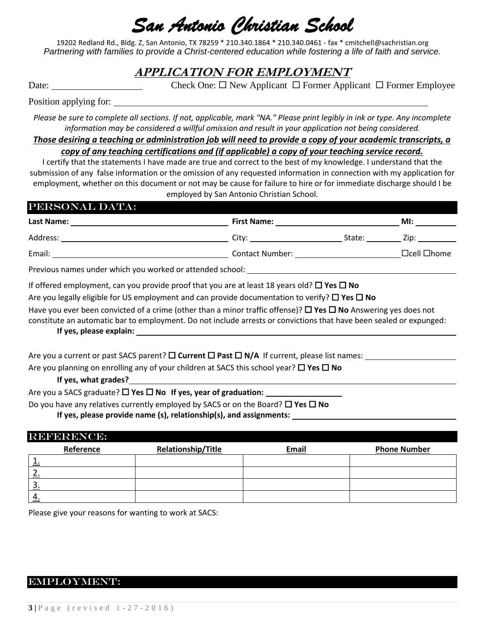19202 Redland Rd., Bldg. Z, San Antonio, TX 78259 \* 210.340.1864 \* 210.340.0461 - fax \* cmitchell@sachristian.org *Partnering with families to provide a Christ-centered education while fostering a life of faith and service.*

## **APPLICATION FOR EMPLOYMENT**

Date: Check One:  $\square$  New Applicant  $\square$  Former Applicant  $\square$  Former Employee

### Position applying for:

*Please be sure to complete all sections. If not, applicable, mark "NA." Please print legibly in ink or type. Any incomplete information may be considered a willful omission and result in your application not being considered.* 

*Those desiring a teaching or administration job will need to provide a copy of your academic transcripts, a* 

*copy of any teaching certifications and (if applicable) a copy of your teaching service record.*

I certify that the statements I have made are true and correct to the best of my knowledge. I understand that the submission of any false information or the omission of any requested information in connection with my application for employment, whether on this document or not may be cause for failure to hire or for immediate discharge should I be employed by San Antonio Christian School.

| PERSONAL DATA:                                                   |                        |        |                                                                                                                                                                                                                                |  |  |
|------------------------------------------------------------------|------------------------|--------|--------------------------------------------------------------------------------------------------------------------------------------------------------------------------------------------------------------------------------|--|--|
| Last Name:                                                       | <b>First Name:</b>     |        | MI:                                                                                                                                                                                                                            |  |  |
| Address:                                                         | City: City             | State: | Zip: the contract of the contract of the contract of the contract of the contract of the contract of the contract of the contract of the contract of the contract of the contract of the contract of the contract of the contr |  |  |
| Email:                                                           | <b>Contact Number:</b> |        | $\Box$ cell $\Box$ home                                                                                                                                                                                                        |  |  |
| <b>Dravious names under which you worked or attended school:</b> |                        |        |                                                                                                                                                                                                                                |  |  |

Previous names under which you worked or attended school: \_\_\_\_\_\_\_\_\_\_\_\_\_\_\_\_\_\_\_\_\_\_\_

If offered employment, can you provide proof that you are at least 18 years old?  $\Box$  Yes  $\Box$  No

Are you legally eligible for US employment and can provide documentation to verify?  $\Box$  Yes  $\Box$  No

Have you ever been convicted of a crime (other than a minor traffic offense)?  $\Box$  Yes  $\Box$  No Answering yes does not

constitute an automatic bar to employment. Do not include arrests or convictions that have been sealed or expunged:

### **If yes, please explain:**

Are you a current or past SACS parent?  $\square$  **Current**  $\square$  **Past**  $\square$  **N/A** If current, please list names:  $\overline{\phantom{a}}$ 

Are you planning on enrolling any of your children at SACS this school year?  $\Box$  Yes  $\Box$  No

**If yes, what grades?**

Are you a SACS graduate? □ Yes □ No If yes, year of graduation:

Do you have any relatives currently employed by SACS or on the Board? □ Yes □ No

**If yes, please provide name (s), relationship(s), and assignments:** 

### REFERENCE:

|    | Reference | <b>Relationship/Title</b> | Email | <b>Phone Number</b> |
|----|-----------|---------------------------|-------|---------------------|
|    |           |                           |       |                     |
|    |           |                           |       |                     |
| J. |           |                           |       |                     |
|    |           |                           |       |                     |

Please give your reasons for wanting to work at SACS:

### Employment: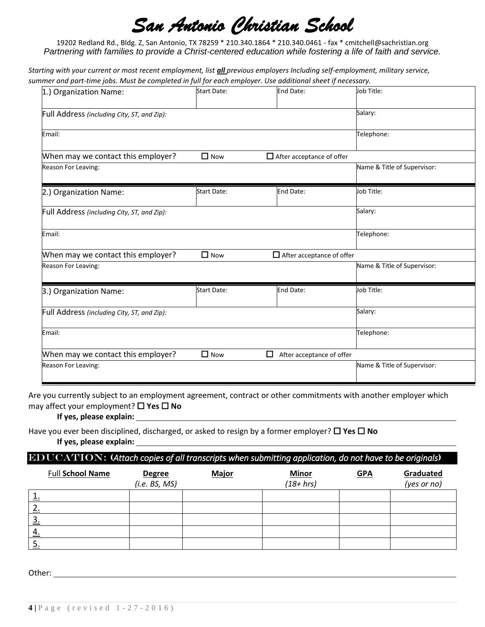19202 Redland Rd., Bldg. Z, San Antonio, TX 78259 \* 210.340.1864 \* 210.340.0461 - fax \* cmitchell@sachristian.org *Partnering with families to provide a Christ-centered education while fostering a life of faith and service.*

*Starting with your current or most recent employment, list all previous employers Including self-employment, military service, summer and part-time jobs. Must be completed in full for each employer. Use additional sheet if necessary.*

| 1.) Organization Name:                      | <b>Start Date:</b> | End Date:                        | Job Title:                  |
|---------------------------------------------|--------------------|----------------------------------|-----------------------------|
| Full Address (including City, ST, and Zip): |                    |                                  | Salary:                     |
| Email:                                      |                    |                                  | Telephone:                  |
| When may we contact this employer?          | $\Box$ Now         | $\Box$ After acceptance of offer |                             |
| Reason For Leaving:                         |                    |                                  | Name & Title of Supervisor: |
| 2.) Organization Name:                      | <b>Start Date:</b> | End Date:                        | Job Title:                  |
| Full Address (including City, ST, and Zip): |                    |                                  | Salary:                     |
| Email:                                      |                    |                                  | Telephone:                  |
| When may we contact this employer?          | $\Box$ Now         | $\Box$ After acceptance of offer |                             |
| Reason For Leaving:                         |                    |                                  | Name & Title of Supervisor: |
| 3.) Organization Name:                      | <b>Start Date:</b> | End Date:                        | Job Title:                  |
| Full Address (including City, ST, and Zip): |                    |                                  | Salary:                     |
| Email:                                      |                    |                                  | Telephone:                  |
| When may we contact this employer?          | $\Box$ Now         | □<br>After acceptance of offer   |                             |
| Reason For Leaving:                         |                    |                                  | Name & Title of Supervisor: |

Are you currently subject to an employment agreement, contract or other commitments with another employer which may affect your employment? □ Yes □ No

**If yes, please explain:** 

Have you ever been disciplined, discharged, or asked to resign by a former employer?  $\Box$  Yes  $\Box$  No **If yes, please explain:** 

#### EDUCATION: (*Attach copies of all transcripts when submitting application, do not have to be originals*)

|           | <b>Full School Name</b> | <b>Degree</b><br>(i.e. BS, MS) | <b>Major</b> | <b>Minor</b><br>$(18 + hr)$ | <b>GPA</b> | Graduated<br>(yes or no) |
|-----------|-------------------------|--------------------------------|--------------|-----------------------------|------------|--------------------------|
| ᅩ.        |                         |                                |              |                             |            |                          |
|           |                         |                                |              |                             |            |                          |
| 3.        |                         |                                |              |                             |            |                          |
| <u>4.</u> |                         |                                |              |                             |            |                          |
| э.        |                         |                                |              |                             |            |                          |

Other: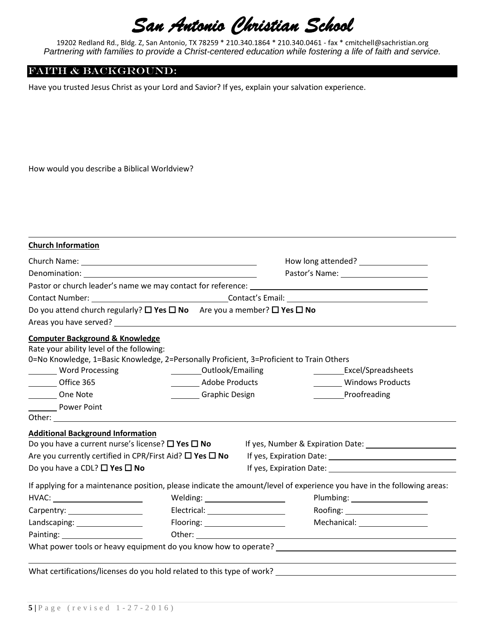19202 Redland Rd., Bldg. Z, San Antonio, TX 78259 \* 210.340.1864 \* 210.340.0461 - fax \* cmitchell@sachristian.org *Partnering with families to provide a Christ-centered education while fostering a life of faith and service.*

### FAITH & BACKGROUND:

Have you trusted Jesus Christ as your Lord and Savior? If yes, explain your salvation experience.

How would you describe a Biblical Worldview?

| <b>Church Information</b>                                                                                                                                                           |                                       |  |                                                                                                                         |  |
|-------------------------------------------------------------------------------------------------------------------------------------------------------------------------------------|---------------------------------------|--|-------------------------------------------------------------------------------------------------------------------------|--|
|                                                                                                                                                                                     |                                       |  | How long attended? _________________                                                                                    |  |
|                                                                                                                                                                                     |                                       |  |                                                                                                                         |  |
|                                                                                                                                                                                     |                                       |  |                                                                                                                         |  |
|                                                                                                                                                                                     |                                       |  |                                                                                                                         |  |
| Do you attend church regularly? $\square$ Yes $\square$ No Are you a member? $\square$ Yes $\square$ No                                                                             |                                       |  |                                                                                                                         |  |
| <b>Computer Background &amp; Knowledge</b><br>Rate your ability level of the following:<br>0=No Knowledge, 1=Basic Knowledge, 2=Personally Proficient, 3=Proficient to Train Others |                                       |  |                                                                                                                         |  |
| <b>Word Processing</b>                                                                                                                                                              | <b>Cutlook/Emailing</b>               |  | Excel/Spreadsheets                                                                                                      |  |
| Office 365                                                                                                                                                                          | <b>Marine Strutter Adobe Products</b> |  | Windows Products                                                                                                        |  |
| One Note                                                                                                                                                                            | Graphic Design                        |  | <b>Proofreading</b>                                                                                                     |  |
| <b>Power Point</b>                                                                                                                                                                  |                                       |  |                                                                                                                         |  |
| <b>Additional Background Information</b>                                                                                                                                            |                                       |  |                                                                                                                         |  |
| Do you have a current nurse's license? $\square$ Yes $\square$ No                                                                                                                   |                                       |  |                                                                                                                         |  |
| Are you currently certified in CPR/First Aid? $\square$ Yes $\square$ No                                                                                                            |                                       |  |                                                                                                                         |  |
| Do you have a CDL? $\Box$ Yes $\Box$ No                                                                                                                                             |                                       |  |                                                                                                                         |  |
|                                                                                                                                                                                     |                                       |  | If applying for a maintenance position, please indicate the amount/level of experience you have in the following areas: |  |
|                                                                                                                                                                                     | Welding: $\sqrt{ }$                   |  | Plumbing: 2000                                                                                                          |  |
|                                                                                                                                                                                     |                                       |  | Roofing: _______________________                                                                                        |  |
| Landscaping: _________________                                                                                                                                                      | Flooring: ______________________      |  | Mechanical: __________________                                                                                          |  |
|                                                                                                                                                                                     |                                       |  |                                                                                                                         |  |
|                                                                                                                                                                                     |                                       |  | What power tools or heavy equipment do you know how to operate? [16] [16] Matter and the state of the state of          |  |
| What certifications/licenses do you hold related to this type of work?                                                                                                              |                                       |  |                                                                                                                         |  |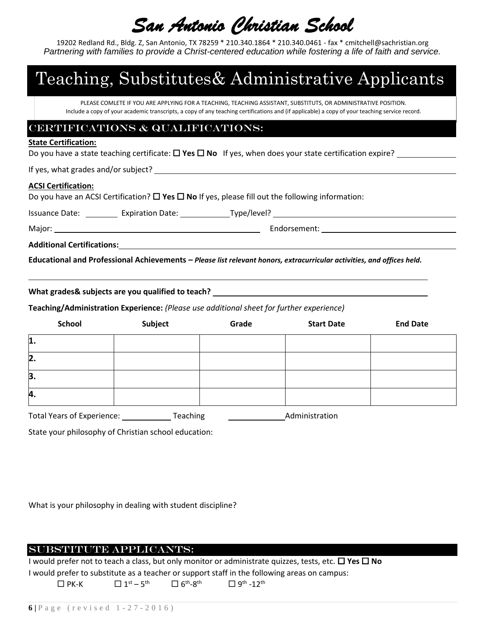19202 Redland Rd., Bldg. Z, San Antonio, TX 78259 \* 210.340.1864 \* 210.340.0461 - fax \* cmitchell@sachristian.org *Partnering with families to provide a Christ-centered education while fostering a life of faith and service.*

# Teaching, Substitutes& Administrative Applicants

PLEASE COMLETE IF YOU ARE APPLYING FOR A TEACHING, TEACHING ASSISTANT, SUBSTITUTS, OR ADMINISTRATIVE POSITION. Include a copy of your academic transcripts, a copy of any teaching certifications and (if applicable) a copy of your teaching service record.

### Certifications & Qualifications:

#### **State Certification:**

Do you have a state teaching certificate:  $\Box$  Yes  $\Box$  No If yes, when does your state certification expire?

If yes, what grades and/or subject?

#### **ACSI Certification:**

Do you have an ACSI Certification?  $\Box$  Yes  $\Box$  No If yes, please fill out the following information:

Issuance Date: \_\_\_\_\_\_\_\_\_ Expiration Date: \_\_\_\_\_\_\_\_\_\_\_\_\_Type/level? \_\_\_\_\_\_\_\_\_\_\_\_

Major: Endorsement:

**Additional Certifications:**

**Educational and Professional Achievements –** *Please list relevant honors, extracurricular activities, and offices held.* 

**What grades& subjects are you qualified to teach?** 

**Teaching/Administration Experience:** *(Please use additional sheet for further experience)*

| <b>School</b>                                                   | Subject | Grade | <b>Start Date</b> | <b>End Date</b> |  |
|-----------------------------------------------------------------|---------|-------|-------------------|-----------------|--|
| 1.                                                              |         |       |                   |                 |  |
| $\mathbf{2}$ .                                                  |         |       |                   |                 |  |
| 3.                                                              |         |       |                   |                 |  |
| 4.                                                              |         |       |                   |                 |  |
| <b>Total Years of Experience:</b><br>Teaching<br>Administration |         |       |                   |                 |  |

State your philosophy of Christian school education:

What is your philosophy in dealing with student discipline?

### SUBSTITUTE APPLICANTS:

I would prefer not to teach a class, but only monitor or administrate quizzes, tests, etc. **□ Yes □ No** I would prefer to substitute as a teacher or support staff in the following areas on campus:  $\square$  PK-K  $\square$   $1^{\text{st}} - 5^{\text{th}}$   $\square$   $6^{\text{th}} - 8^{\text{th}}$   $\square$   $9^{\text{th}} - 12^{\text{th}}$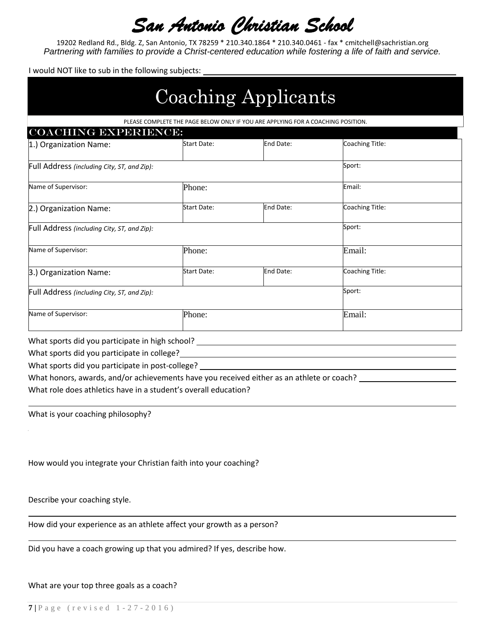19202 Redland Rd., Bldg. Z, San Antonio, TX 78259 \* 210.340.1864 \* 210.340.0461 - fax \* cmitchell@sachristian.org *Partnering with families to provide a Christ-centered education while fostering a life of faith and service.*

I would NOT like to sub in the following subjects:

|                                                 | <b>Coaching Applicants</b>                                                       |           |                 |  |
|-------------------------------------------------|----------------------------------------------------------------------------------|-----------|-----------------|--|
|                                                 | PLEASE COMPLETE THE PAGE BELOW ONLY IF YOU ARE APPLYING FOR A COACHING POSITION. |           |                 |  |
| <b>COACHING EXPERIENCE:</b>                     |                                                                                  |           |                 |  |
| 1.) Organization Name:                          | <b>Start Date:</b>                                                               | End Date: | Coaching Title: |  |
| Full Address (including City, ST, and Zip):     |                                                                                  |           | Sport:          |  |
| Name of Supervisor:                             | Phone:                                                                           |           |                 |  |
| 2.) Organization Name:                          | <b>Start Date:</b>                                                               | End Date: | Coaching Title: |  |
| Full Address (including City, ST, and Zip):     |                                                                                  |           | Sport:          |  |
| Name of Supervisor:                             | Phone:                                                                           |           |                 |  |
| 3.) Organization Name:                          | <b>Start Date:</b>                                                               | End Date: | Coaching Title: |  |
| Full Address (including City, ST, and Zip):     | Sport:                                                                           |           |                 |  |
| Name of Supervisor:                             | Phone:                                                                           |           | Email:          |  |
| What sports did you participate in high school? |                                                                                  |           |                 |  |

What sports did you participate in college?

What sports did you participate in post-college?

What honors, awards, and/or achievements have you received either as an athlete or coach? What role does athletics have in a student's overall education?

What is your coaching philosophy?

How would you integrate your Christian faith into your coaching?

Describe your coaching style.

How did your experience as an athlete affect your growth as a person?

Did you have a coach growing up that you admired? If yes, describe how.

What are your top three goals as a coach?